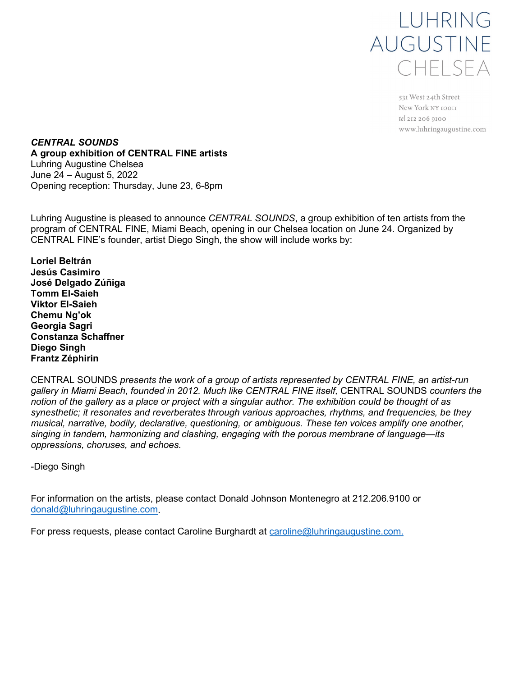

531 West 24th Street New York NY 10011 tel 212 206 9100 www.luhringaugustine.com

*CENTRAL SOUNDS* **A group exhibition of CENTRAL FINE artists** Luhring Augustine Chelsea June 24 – August 5, 2022 Opening reception: Thursday, June 23, 6-8pm

Luhring Augustine is pleased to announce *CENTRAL SOUNDS*, a group exhibition of ten artists from the program of CENTRAL FINE, Miami Beach, opening in our Chelsea location on June 24. Organized by CENTRAL FINE's founder, artist Diego Singh, the show will include works by:

**Loriel Beltrán Jesús Casimiro José Delgado Zúñiga Tomm El-Saieh Viktor El-Saieh Chemu Ng'ok Georgia Sagri Constanza Schaffner Diego Singh Frantz Zéphirin**

CENTRAL SOUNDS *presents the work of a group of artists represented by CENTRAL FINE, an artist-run gallery in Miami Beach, founded in 2012. Much like CENTRAL FINE itself,* CENTRAL SOUNDS *counters the notion of the gallery as a place or project with a singular author. The exhibition could be thought of as synesthetic; it resonates and reverberates through various approaches, rhythms, and frequencies, be they musical, narrative, bodily, declarative, questioning, or ambiguous. These ten voices amplify one another, singing in tandem, harmonizing and clashing, engaging with the porous membrane of language—its oppressions, choruses, and echoes.* 

-Diego Singh

For information on the artists, please contact Donald Johnson Montenegro at 212.206.9100 or [donald@luhringaugustine.com.](mailto:donald@luhringaugustine.com)

For press requests, please contact Caroline Burghardt at [caroline@luhringaugustine.com.](mailto:caroline@luhringaugustine.com)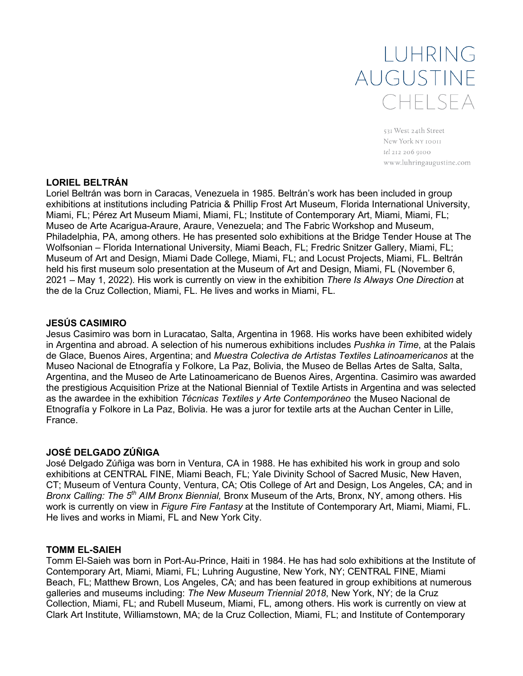# LUHRING AUGUSTINE CHELSEA

531 West 24th Street New York NY 10011 tel 212 206 9100 www.luhringaugustine.com

## **LORIEL BELTRÁN**

Loriel Beltrán was born in Caracas, Venezuela in 1985. Beltrán's work has been included in group exhibitions at institutions including Patricia & Phillip Frost Art Museum, Florida International University, Miami, FL; Pérez Art Museum Miami, Miami, FL; Institute of Contemporary Art, Miami, Miami, FL; Museo de Arte Acarigua-Araure, Araure, Venezuela; and The Fabric Workshop and Museum, Philadelphia, PA, among others. He has presented solo exhibitions at the Bridge Tender House at The Wolfsonian – Florida International University, Miami Beach, FL; Fredric Snitzer Gallery, Miami, FL; Museum of Art and Design, Miami Dade College, Miami, FL; and Locust Projects, Miami, FL. Beltrán held his first museum solo presentation at the Museum of Art and Design, Miami, FL (November 6, 2021 – May 1, 2022). His work is currently on view in the exhibition *There Is Always One Direction* at the de la Cruz Collection, Miami, FL. He lives and works in Miami, FL.

## **JESÚS CASIMIRO**

Jesus Casimiro was born in Luracatao, Salta, Argentina in 1968. His works have been exhibited widely in Argentina and abroad. A selection of his numerous exhibitions includes *Pushka in Time*, at the Palais de Glace, Buenos Aires, Argentina; and *Muestra Colectiva de Artistas Textiles Latinoamericanos* at the Museo Nacional de Etnografía y Folkore, La Paz, Bolivia, the Museo de Bellas Artes de Salta, Salta, Argentina, and the Museo de Arte Latinoamericano de Buenos Aires, Argentina. Casimiro was awarded the prestigious Acquisition Prize at the National Biennial of Textile Artists in Argentina and was selected as the awardee in the exhibition *Técnicas Textiles y Arte Contemporáneo* the Museo Nacional de Etnografía y Folkore in La Paz, Bolivia. He was a juror for textile arts at the Auchan Center in Lille, France.

# **JOSÉ DELGADO ZÚÑIGA**

José Delgado Zúñiga was born in Ventura, CA in 1988. He has exhibited his work in group and solo exhibitions at CENTRAL FINE, Miami Beach, FL; Yale Divinity School of Sacred Music, New Haven, CT; Museum of Ventura County, Ventura, CA; Otis College of Art and Design, Los Angeles, CA; and in *Bronx Calling: The 5th AIM Bronx Biennial,* Bronx Museum of the Arts, Bronx, NY, among others. His work is currently on view in *Figure Fire Fantasy* at the Institute of Contemporary Art, Miami, Miami, FL. He lives and works in Miami, FL and New York City.

## **TOMM EL-SAIEH**

Tomm El-Saieh was born in Port-Au-Prince, Haiti in 1984. He has had solo exhibitions at the Institute of Contemporary Art, Miami, Miami, FL; Luhring Augustine, New York, NY; CENTRAL FINE, Miami Beach, FL; Matthew Brown, Los Angeles, CA; and has been featured in group exhibitions at numerous galleries and museums including: *The New Museum Triennial 2018*, New York, NY; de la Cruz Collection, Miami, FL; and Rubell Museum, Miami, FL, among others. His work is currently on view at Clark Art Institute, Williamstown, MA; de la Cruz Collection, Miami, FL; and Institute of Contemporary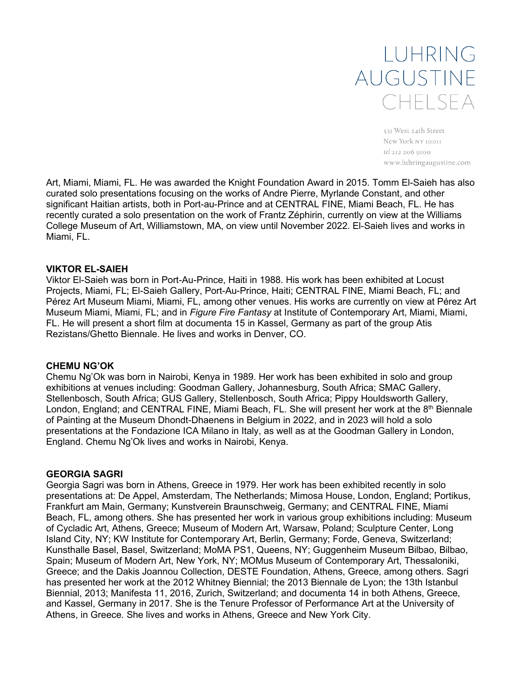# LUHRING AUGUSTINE CHELSEA

531 West 24th Street New York NY 10011 tel 212 206 9100 www.luhringaugustine.com

Art, Miami, Miami, FL. He was awarded the Knight Foundation Award in 2015. Tomm El-Saieh has also curated solo presentations focusing on the works of Andre Pierre, Myrlande Constant, and other significant Haitian artists, both in Port-au-Prince and at CENTRAL FINE, Miami Beach, FL. He has recently curated a solo presentation on the work of Frantz Zéphirin, currently on view at the Williams College Museum of Art, Williamstown, MA, on view until November 2022. El-Saieh lives and works in Miami, FL.

#### **VIKTOR EL-SAIEH**

Viktor El-Saieh was born in Port-Au-Prince, Haiti in 1988. His work has been exhibited at Locust Projects, Miami, FL; El-Saieh Gallery, Port-Au-Prince, Haiti; CENTRAL FINE, Miami Beach, FL; and Pérez Art Museum Miami, Miami, FL, among other venues. His works are currently on view at Pérez Art Museum Miami, Miami, FL; and in *Figure Fire Fantasy* at Institute of Contemporary Art, Miami, Miami, FL. He will present a short film at documenta 15 in Kassel, Germany as part of the group Atis Rezistans/Ghetto Biennale. He lives and works in Denver, CO.

#### **CHEMU NG'OK**

Chemu Ng'Ok was born in Nairobi, Kenya in 1989. Her work has been exhibited in solo and group exhibitions at venues including: Goodman Gallery, Johannesburg, South Africa; SMAC Gallery, Stellenbosch, South Africa; GUS Gallery, Stellenbosch, South Africa; Pippy Houldsworth Gallery, London, England; and CENTRAL FINE, Miami Beach, FL. She will present her work at the 8<sup>th</sup> Biennale of Painting at the Museum Dhondt-Dhaenens in Belgium in 2022, and in 2023 will hold a solo presentations at the Fondazione ICA Milano in Italy, as well as at the Goodman Gallery in London, England. Chemu Ng'Ok lives and works in Nairobi, Kenya.

#### **GEORGIA SAGRI**

Georgia Sagri was born in Athens, Greece in 1979. Her work has been exhibited recently in solo presentations at: De Appel, Amsterdam, The Netherlands; Mimosa House, London, England; Portikus, Frankfurt am Main, Germany; Kunstverein Braunschweig, Germany; and CENTRAL FINE, Miami Beach, FL, among others. She has presented her work in various group exhibitions including: Museum of Cycladic Art, Athens, Greece; Museum of Modern Art, Warsaw, Poland; Sculpture Center, Long Island City, NY; KW Institute for Contemporary Art, Berlin, Germany; Forde, Geneva, Switzerland; Kunsthalle Basel, Basel, Switzerland; MoMA PS1, Queens, NY; Guggenheim Museum Bilbao, Bilbao, Spain; Museum of Modern Art, New York, NY; MOMus Museum of Contemporary Art, Thessaloniki, Greece; and the Dakis Joannou Collection, DESTE Foundation, Athens, Greece, among others. Sagri has presented her work at the 2012 Whitney Biennial; the 2013 Biennale de Lyon; the 13th Istanbul Biennial, 2013; Manifesta 11, 2016, Zurich, Switzerland; and documenta 14 in both Athens, Greece, and Kassel, Germany in 2017. She is the Tenure Professor of Performance Art at the University of Athens, in Greece. She lives and works in Athens, Greece and New York City.